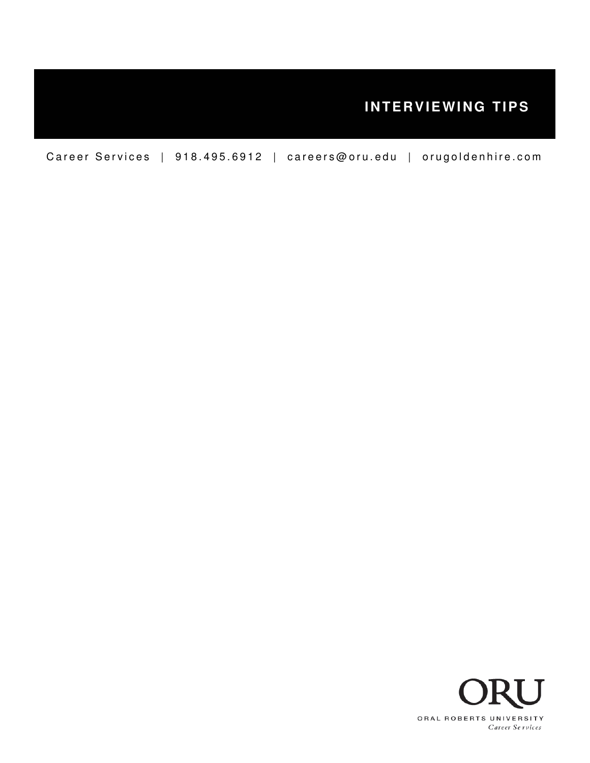# **INTERVIEWING TIPS**

Career Services | 918.495.6912 | careers@oru.edu | orugoldenhire.com

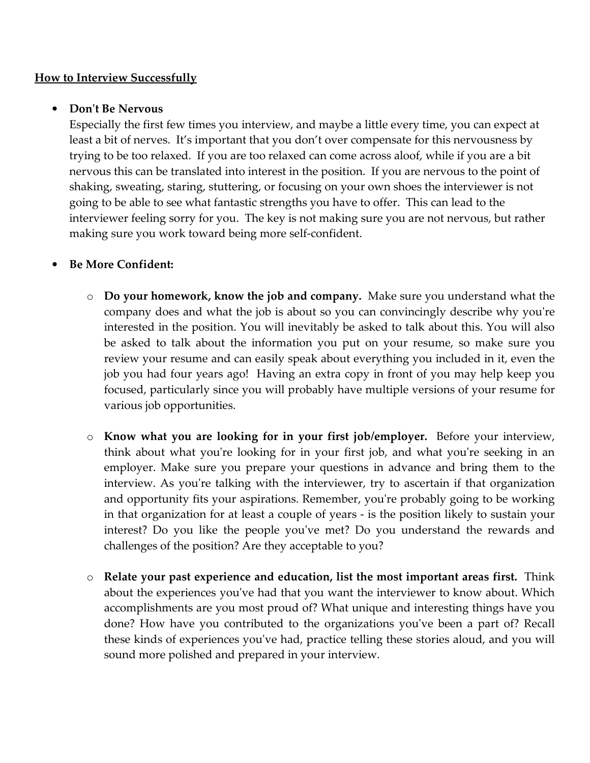## **How to Interview Successfully**

## • Don't Be Nervous

Especially the first few times you interview, and maybe a little every time, you can expect at least a bit of nerves. It's important that you don't over compensate for this nervousness by trying to be too relaxed. If you are too relaxed can come across aloof, while if you are a bit nervous this can be translated into interest in the position. If you are nervous to the point of shaking, sweating, staring, stuttering, or focusing on your own shoes the interviewer is not going to be able to see what fantastic strengths you have to offer. This can lead to the interviewer feeling sorry for you. The key is not making sure you are not nervous, but rather making sure you work toward being more self-confident.

## • Be More Confident:

- $\circ$  Do your homework, know the job and company. Make sure you understand what the company does and what the job is about so you can convincingly describe why you're interested in the position. You will inevitably be asked to talk about this. You will also be asked to talk about the information you put on your resume, so make sure you review your resume and can easily speak about everything you included in it, even the job you had four years ago! Having an extra copy in front of you may help keep you focused, particularly since you will probably have multiple versions of your resume for various job opportunities.
- o Know what you are looking for in your first job/employer. Before your interview, think about what you're looking for in your first job, and what you're seeking in an employer. Make sure you prepare your questions in advance and bring them to the interview. As you're talking with the interviewer, try to ascertain if that organization and opportunity fits your aspirations. Remember, you're probably going to be working in that organization for at least a couple of years - is the position likely to sustain your interest? Do you like the people you've met? Do you understand the rewards and challenges of the position? Are they acceptable to you?
- o Relate your past experience and education, list the most important areas first. Think about the experiences you've had that you want the interviewer to know about. Which accomplishments are you most proud of? What unique and interesting things have you done? How have you contributed to the organizations you've been a part of? Recall these kinds of experiences you've had, practice telling these stories aloud, and you will sound more polished and prepared in your interview.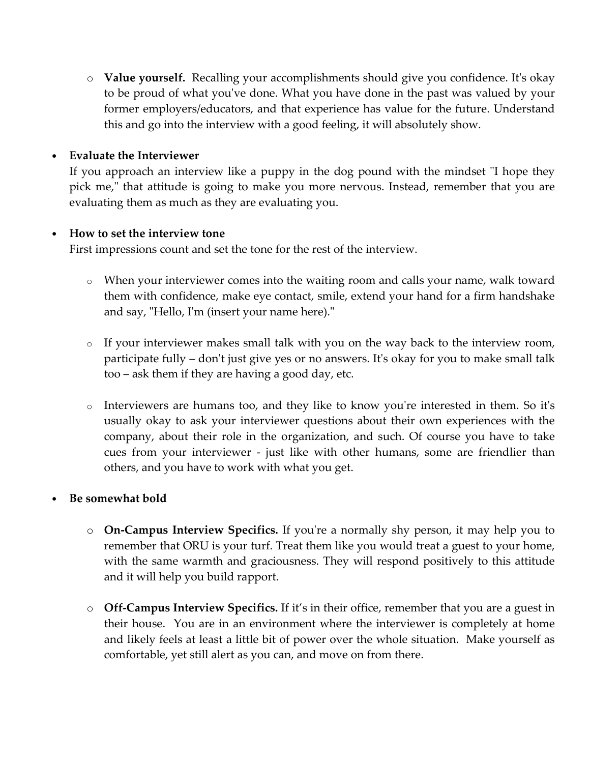o Value yourself. Recalling your accomplishments should give you confidence. It's okay to be proud of what you've done. What you have done in the past was valued by your former employers/educators, and that experience has value for the future. Understand this and go into the interview with a good feeling, it will absolutely show.

## • Evaluate the Interviewer

If you approach an interview like a puppy in the dog pound with the mindset "I hope they pick me," that attitude is going to make you more nervous. Instead, remember that you are evaluating them as much as they are evaluating you.

#### • How to set the interview tone

First impressions count and set the tone for the rest of the interview.

- o When your interviewer comes into the waiting room and calls your name, walk toward them with confidence, make eye contact, smile, extend your hand for a firm handshake and say, "Hello, I'm (insert your name here)."
- o If your interviewer makes small talk with you on the way back to the interview room, participate fully – don't just give yes or no answers. It's okay for you to make small talk too – ask them if they are having a good day, etc.
- o Interviewers are humans too, and they like to know you're interested in them. So it's usually okay to ask your interviewer questions about their own experiences with the company, about their role in the organization, and such. Of course you have to take cues from your interviewer - just like with other humans, some are friendlier than others, and you have to work with what you get.

#### • Be somewhat bold

- o On-Campus Interview Specifics. If you're a normally shy person, it may help you to remember that ORU is your turf. Treat them like you would treat a guest to your home, with the same warmth and graciousness. They will respond positively to this attitude and it will help you build rapport.
- $\circ$  Off-Campus Interview Specifics. If it's in their office, remember that you are a guest in their house. You are in an environment where the interviewer is completely at home and likely feels at least a little bit of power over the whole situation. Make yourself as comfortable, yet still alert as you can, and move on from there.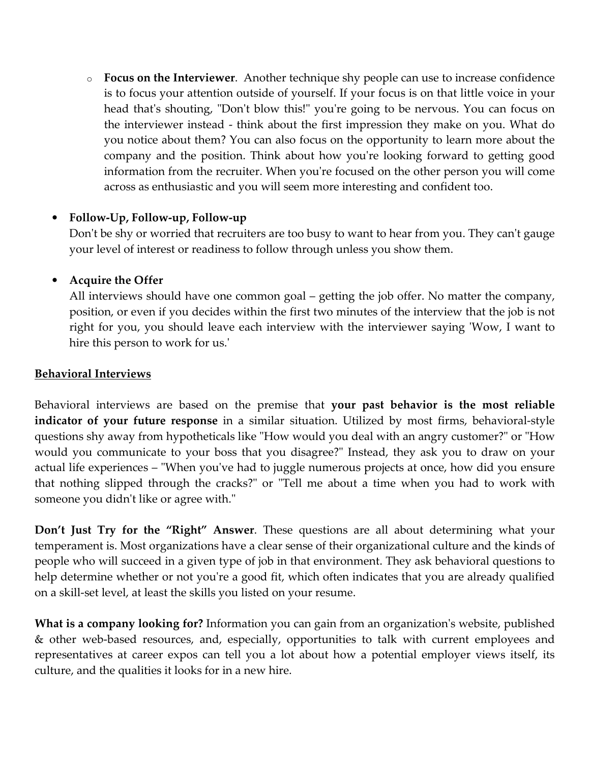$\circ$  Focus on the Interviewer. Another technique shy people can use to increase confidence is to focus your attention outside of yourself. If your focus is on that little voice in your head that's shouting, "Don't blow this!" you're going to be nervous. You can focus on the interviewer instead - think about the first impression they make on you. What do you notice about them? You can also focus on the opportunity to learn more about the company and the position. Think about how you're looking forward to getting good information from the recruiter. When you're focused on the other person you will come across as enthusiastic and you will seem more interesting and confident too.

## • Follow-Up, Follow-up, Follow-up

Don't be shy or worried that recruiters are too busy to want to hear from you. They can't gauge your level of interest or readiness to follow through unless you show them.

## • Acquire the Offer

All interviews should have one common goal – getting the job offer. No matter the company, position, or even if you decides within the first two minutes of the interview that the job is not right for you, you should leave each interview with the interviewer saying 'Wow, I want to hire this person to work for us.'

#### Behavioral Interviews

Behavioral interviews are based on the premise that your past behavior is the most reliable indicator of your future response in a similar situation. Utilized by most firms, behavioral-style questions shy away from hypotheticals like "How would you deal with an angry customer?" or "How would you communicate to your boss that you disagree?" Instead, they ask you to draw on your actual life experiences – "When you've had to juggle numerous projects at once, how did you ensure that nothing slipped through the cracks?" or "Tell me about a time when you had to work with someone you didn't like or agree with."

Don't Just Try for the "Right" Answer. These questions are all about determining what your temperament is. Most organizations have a clear sense of their organizational culture and the kinds of people who will succeed in a given type of job in that environment. They ask behavioral questions to help determine whether or not you're a good fit, which often indicates that you are already qualified on a skill-set level, at least the skills you listed on your resume.

What is a company looking for? Information you can gain from an organization's website, published & other web-based resources, and, especially, opportunities to talk with current employees and representatives at career expos can tell you a lot about how a potential employer views itself, its culture, and the qualities it looks for in a new hire.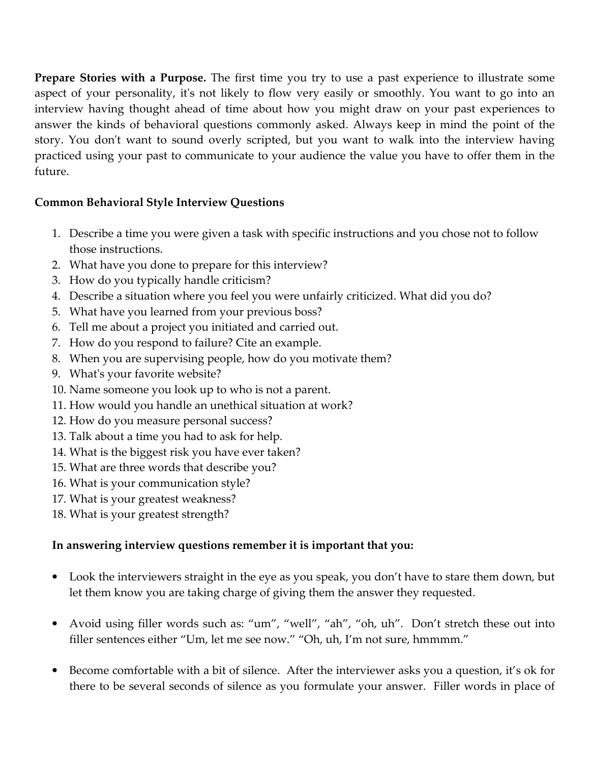**Prepare Stories with a Purpose.** The first time you try to use a past experience to illustrate some aspect of your personality, it's not likely to flow very easily or smoothly. You want to go into an interview having thought ahead of time about how you might draw on your past experiences to answer the kinds of behavioral questions commonly asked. Always keep in mind the point of the story. You don't want to sound overly scripted, but you want to walk into the interview having practiced using your past to communicate to your audience the value you have to offer them in the future.

## Common Behavioral Style Interview Questions

- 1. Describe a time you were given a task with specific instructions and you chose not to follow those instructions.
- 2. What have you done to prepare for this interview?
- 3. How do you typically handle criticism?
- 4. Describe a situation where you feel you were unfairly criticized. What did you do?
- 5. What have you learned from your previous boss?
- 6. Tell me about a project you initiated and carried out.
- 7. How do you respond to failure? Cite an example.
- 8. When you are supervising people, how do you motivate them?
- 9. What's your favorite website?
- 10. Name someone you look up to who is not a parent.
- 11. How would you handle an unethical situation at work?
- 12. How do you measure personal success?
- 13. Talk about a time you had to ask for help.
- 14. What is the biggest risk you have ever taken?
- 15. What are three words that describe you?
- 16. What is your communication style?
- 17. What is your greatest weakness?
- 18. What is your greatest strength?

# In answering interview questions remember it is important that you:

- Look the interviewers straight in the eye as you speak, you don't have to stare them down, but let them know you are taking charge of giving them the answer they requested.
- Avoid using filler words such as: "um", "well", "ah", "oh, uh". Don't stretch these out into filler sentences either "Um, let me see now." "Oh, uh, I'm not sure, hmmmm."
- Become comfortable with a bit of silence. After the interviewer asks you a question, it's ok for there to be several seconds of silence as you formulate your answer. Filler words in place of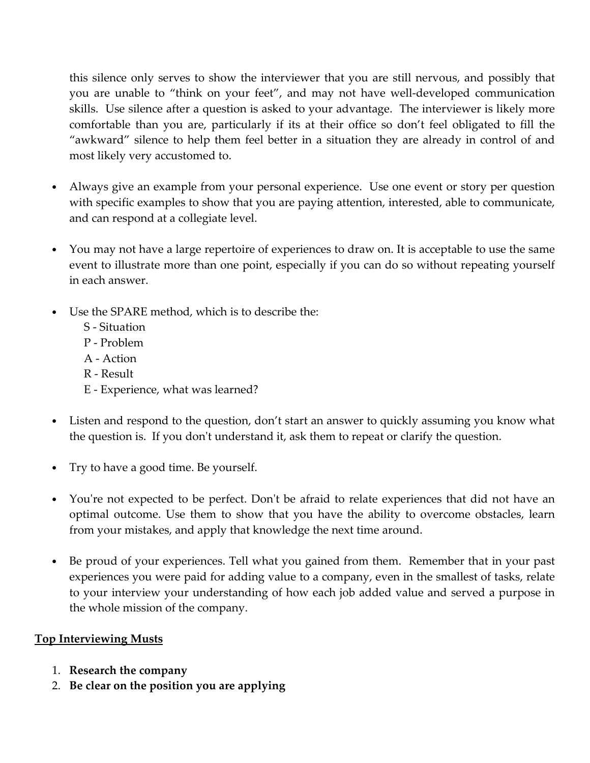this silence only serves to show the interviewer that you are still nervous, and possibly that you are unable to "think on your feet", and may not have well-developed communication skills. Use silence after a question is asked to your advantage. The interviewer is likely more comfortable than you are, particularly if its at their office so don't feel obligated to fill the "awkward" silence to help them feel better in a situation they are already in control of and most likely very accustomed to.

- Always give an example from your personal experience. Use one event or story per question with specific examples to show that you are paying attention, interested, able to communicate, and can respond at a collegiate level.
- You may not have a large repertoire of experiences to draw on. It is acceptable to use the same event to illustrate more than one point, especially if you can do so without repeating yourself in each answer.
- Use the SPARE method, which is to describe the:
	- S Situation
	- P Problem
	- A Action
	- R Result
	- E Experience, what was learned?
- Listen and respond to the question, don't start an answer to quickly assuming you know what the question is. If you don't understand it, ask them to repeat or clarify the question.
- Try to have a good time. Be yourself.
- You're not expected to be perfect. Don't be afraid to relate experiences that did not have an optimal outcome. Use them to show that you have the ability to overcome obstacles, learn from your mistakes, and apply that knowledge the next time around.
- Be proud of your experiences. Tell what you gained from them. Remember that in your past experiences you were paid for adding value to a company, even in the smallest of tasks, relate to your interview your understanding of how each job added value and served a purpose in the whole mission of the company.

# Top Interviewing Musts

- 1. Research the company
- 2. Be clear on the position you are applying